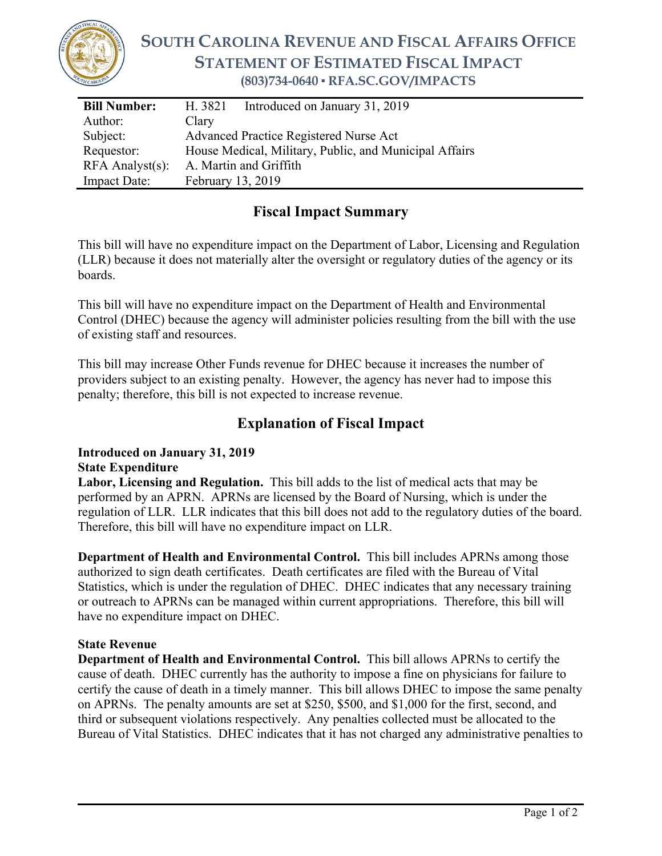

# **SOUTH CAROLINA REVENUE AND FISCAL AFFAIRS OFFICE STATEMENT OF ESTIMATED FISCAL IMPACT (803)734-0640 ▪ RFA.SC.GOV/IMPACTS**

| <b>Bill Number:</b>   | H. 3821<br>Introduced on January 31, 2019              |
|-----------------------|--------------------------------------------------------|
| Author:               | Clary                                                  |
| Subject:              | <b>Advanced Practice Registered Nurse Act</b>          |
| Requestor:            | House Medical, Military, Public, and Municipal Affairs |
| $RFA$ Analyst $(s)$ : | A. Martin and Griffith                                 |
| <b>Impact Date:</b>   | February 13, 2019                                      |

### **Fiscal Impact Summary**

This bill will have no expenditure impact on the Department of Labor, Licensing and Regulation (LLR) because it does not materially alter the oversight or regulatory duties of the agency or its boards.

This bill will have no expenditure impact on the Department of Health and Environmental Control (DHEC) because the agency will administer policies resulting from the bill with the use of existing staff and resources.

This bill may increase Other Funds revenue for DHEC because it increases the number of providers subject to an existing penalty. However, the agency has never had to impose this penalty; therefore, this bill is not expected to increase revenue.

## **Explanation of Fiscal Impact**

#### **Introduced on January 31, 2019 State Expenditure**

**Labor, Licensing and Regulation.** This bill adds to the list of medical acts that may be performed by an APRN. APRNs are licensed by the Board of Nursing, which is under the regulation of LLR. LLR indicates that this bill does not add to the regulatory duties of the board. Therefore, this bill will have no expenditure impact on LLR.

**Department of Health and Environmental Control.** This bill includes APRNs among those authorized to sign death certificates. Death certificates are filed with the Bureau of Vital Statistics, which is under the regulation of DHEC. DHEC indicates that any necessary training or outreach to APRNs can be managed within current appropriations. Therefore, this bill will have no expenditure impact on DHEC.

#### **State Revenue**

**Department of Health and Environmental Control.** This bill allows APRNs to certify the cause of death. DHEC currently has the authority to impose a fine on physicians for failure to certify the cause of death in a timely manner. This bill allows DHEC to impose the same penalty on APRNs. The penalty amounts are set at \$250, \$500, and \$1,000 for the first, second, and third or subsequent violations respectively. Any penalties collected must be allocated to the Bureau of Vital Statistics. DHEC indicates that it has not charged any administrative penalties to